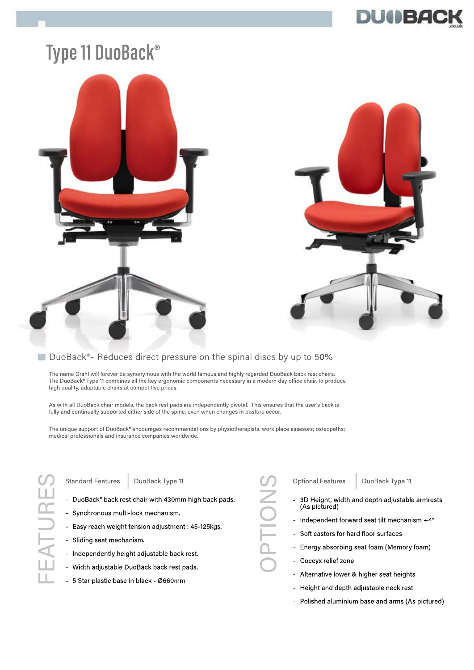

## **Type 11 DuoBack®**





### ■ DuoBack®- Reduces direct pressure on the spinal discs by up to 50%

The name Grahl will forever be synonymous with the world famous and highly regarded DuoBack back rest chairs. The DuoBack® Type 11 combines all the key ergonomic components necessary in a modern day office chair, to produce high quality, adaptable chairs at competitive prices.

As with all DuoBack chair models, the back rest pads are independently pivotal. This ensures that the user's back is fully and continually supported either side of the spine, even when changes in posture occur.

The unique support of DuoBack® encourages recommendations by physiotherapists. work place assesors; osteopaths; medical professionals and insurance companies worldwide.

FEATURES EATURE Standard Features | DuoBack Type 11

- DuoBack® back rest chair with 430mm high back pads.
- Synchronous multi-lock mechanism.
- Easy reach weight tension adjustment : 45-125kgs.
- Sliding seat mechanism.
- Independently height adjustable back rest.
- Width adjustable DuoBack back rest pads.
- 5 Star plastic base in black Ø660mm

- Optional Features DuoBack Type 11<br>
 3D Height, width and depth adjustable<br>
(As pictured)<br>
 Independent forward seat tilt mechani<br>
 Soft castors for hard floor surfaces<br>
 Energy absorbing seat foam (Memory<br>
 Coccyx rel 3D Height, width and depth adjustable armrests (As pictured)
	- Independent forward seat tilt mechanism +4°
	- Soft castors for hard floor surfaces
	- Energy absorbing seat foam (Memory foam)
	- Coccyx relief zone
		- Alternative lower & higher seat heights
		- Height and depth adjustable neck rest
		- Polished aluminium base and arms (As pictured)